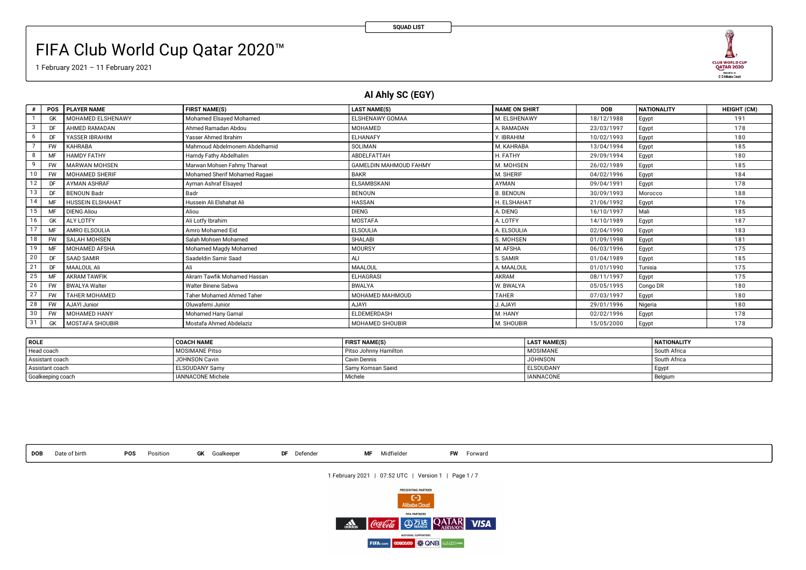# FIFA Club World Cup Qatar 2020™

1 February 2021 – 11 February 2021

### **Al Ahly SC (EGY)**

| #  | <b>POS</b> | <b>PLAYER NAME</b>      | <b>FIRST NAME(S)</b>             | <b>LAST NAME(S)</b>           | <b>NAME ON SHIRT</b> | <b>DOB</b> | <b>NATIONALITY</b> | <b>HEIGHT (CM)</b> |
|----|------------|-------------------------|----------------------------------|-------------------------------|----------------------|------------|--------------------|--------------------|
|    | GK         | MOHAMED ELSHENAWY       | Mohamed Elsayed Mohamed          | ELSHENAWY GOMAA               | M. ELSHENAWY         | 18/12/1988 | Egypt              | 191                |
| 3  | DF         | <b>AHMED RAMADAN</b>    | Ahmed Ramadan Abdou              | MOHAMED                       | A. RAMADAN           | 23/03/1997 | Egypt              | 178                |
| 6  | DF         | YASSER IBRAHIM          | Yasser Ahmed Ibrahim             | <b>ELHANAFY</b>               | Y. IBRAHIM           | 10/02/1993 | Egypt              | 180                |
|    | <b>FW</b>  | <b>KAHRABA</b>          | Mahmoud Abdelmonem Abdelhamid    | SOLIMAN                       | M. KAHRABA           | 13/04/1994 | Egypt              | 185                |
| 8  | MF         | <b>HAMDY FATHY</b>      | Hamdy Fathy Abdelhalim           | ABDELFATTAH                   | H. FATHY             | 29/09/1994 | Egypt              | 180                |
| 9  | <b>FW</b>  | <b>MARWAN MOHSEN</b>    | Marwan Mohsen Fahmy Tharwat      | <b>GAMELDIN MAHMOUD FAHMY</b> | M. MOHSEN            | 26/02/1989 | Egypt              | 185                |
| 10 | <b>FW</b>  | <b>MOHAMED SHERIF</b>   | Mohamed Sherif Mohamed Ragaei    | <b>BAKR</b>                   | M. SHERIF            | 04/02/1996 | Egypt              | 184                |
| 12 | DF         | <b>AYMAN ASHRAF</b>     | Ayman Ashraf Elsayed             | ELSAMBSKANI                   | AYMAN                | 09/04/1991 | Egypt              | 178                |
| 13 | DF         | <b>BENOUN Badr</b>      | Badr                             | <b>BENOUN</b>                 | <b>B. BENOUN</b>     | 30/09/1993 | Morocco            | 188                |
| 14 | MF         | <b>HUSSEIN ELSHAHAT</b> | Hussein Ali Elshahat Ali         | <b>HASSAN</b>                 | H. ELSHAHAT          | 21/06/1992 | Egypt              | 176                |
| 15 | MF         | <b>DIENG Aliou</b>      | Aliou                            | <b>DIENG</b>                  | A. DIENG             | 16/10/1997 | Mali               | 185                |
| 16 | GK         | <b>ALY LOTFY</b>        | Ali Lotfy Ibrahim                | MOSTAFA                       | A. LOTFY             | 14/10/1989 | Egypt              | 187                |
| 17 | MF         | <b>AMRO ELSOULIA</b>    | Amro Mohamed Eid                 | <b>ELSOULIA</b>               | A. ELSOULIA          | 02/04/1990 | Egypt              | 183                |
| 18 | <b>FW</b>  | SALAH MOHSEN            | Salah Mohsen Mohamed             | <b>SHALABI</b>                | S. MOHSEN            | 01/09/1998 | Egypt              | 181                |
| 19 | MF         | <b>MOHAMED AFSHA</b>    | Mohamed Magdy Mohamed            | MOURSY                        | M. AFSHA             | 06/03/1996 | Egypt              | 175                |
| 20 | DF         | <b>SAAD SAMIR</b>       | Saadeldin Samir Saad             | ALI                           | S. SAMIR             | 01/04/1989 | Egypt              | 185                |
| 21 | DF         | MAALOUL Ali             | Ali                              | MAALOUL                       | A. MAALOUL           | 01/01/1990 | Tunisia            | 175                |
| 25 | MF         | <b>AKRAM TAWFIK</b>     | Akram Tawfik Mohamed Hassan      | <b>ELHAGRASI</b>              | AKRAM                | 08/11/1997 | Egypt              | 175                |
| 26 | <b>FW</b>  | <b>BWALYA Walter</b>    | Walter Binene Sabwa              | <b>BWALYA</b>                 | W. BWALYA            | 05/05/1995 | Congo DR           | 180                |
| 27 | <b>FW</b>  | <b>TAHER MOHAMED</b>    | <b>Taher Mohamed Ahmed Taher</b> | MOHAMED MAHMOUD               | <b>TAHER</b>         | 07/03/1997 | Egypt              | 180                |
| 28 | <b>FW</b>  | AJAYI Junior            | Oluwafemi Junior                 | <b>AJAYI</b>                  | J. AJAYI             | 29/01/1996 | Nigeria            | 180                |
| 30 | <b>FW</b>  | MOHAMED HANY            | Mohamed Hany Gamal               | ELDEMERDASH                   | M. HANY              | 02/02/1996 | Egypt              | 178                |
| 31 | GK         | MOSTAFA SHOUBIR         | Mostafa Ahmed Abdelaziz          | MOHAMED SHOUBIR               | M. SHOUBIR           | 15/05/2000 | Egypt              | 178                |

| ROLE              | <b>COACH NAME</b>        | <b>FIRST NAME(S)</b>  | <b>LAST NAME(S)</b> | <b>NATIONALITY</b> |
|-------------------|--------------------------|-----------------------|---------------------|--------------------|
| Head coach        | <b>MOSIMANE Pitso</b>    | Pitso Johnny Hamilton | <b>MOSIMANE</b>     | South Africa       |
| Assistant coach   | JOHNSON Cavin            | Cavin Dennis          | <b>JOHNSON</b>      | South Africa       |
| Assistant coach   | <b>ELSOUDANY Samv</b>    | Samy Komsan Saeid     | <b>ELSOUDANY</b>    | Egyp               |
| Goalkeeping coach | <b>IANNACONE Michele</b> | Michele               | <b>IANNACONE</b>    | Belgium            |

**DOB** Date of birth **POS** Position **GK** Goalkeeper **DF** Defender **MF** Midfielder **FW** Forward

1 February 2021 | 07:52 UTC | Version 1 | Page 1 / 7



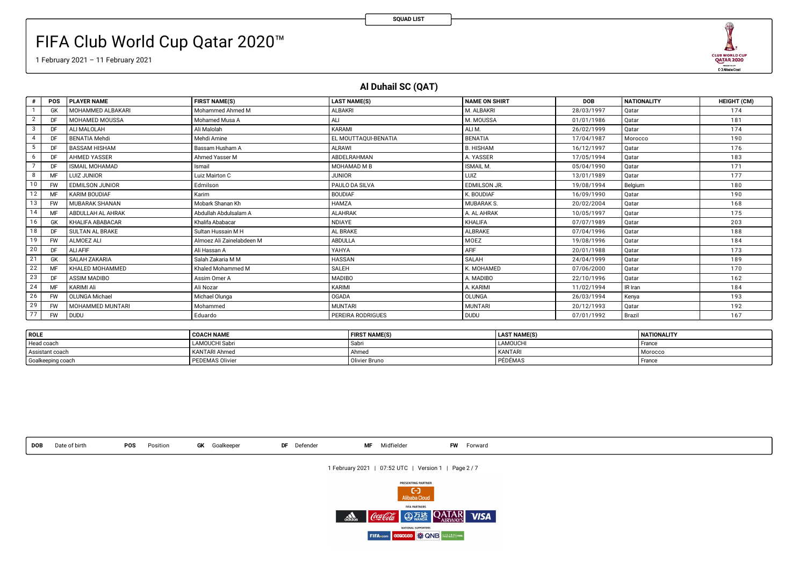# FIFA Club World Cup Qatar 2020™

等 **AND** CLUB WORLD CUP<br>QATAR 2020

1 February 2021 – 11 February 2021

## **Al Duhail SC (QAT)**

**SQUAD LIST**

| #              | <b>POS</b> | <b>PLAYER NAME</b>      | <b>FIRST NAME(S)</b>      | <b>LAST NAME(S)</b>      | <b>NAME ON SHIRT</b> | <b>DOB</b> | <b>NATIONALITY</b> | <b>HEIGHT (CM)</b> |
|----------------|------------|-------------------------|---------------------------|--------------------------|----------------------|------------|--------------------|--------------------|
|                |            | MOHAMMED ALBAKARI       | Mohammed Ahmed M          | <b>ALBAKRI</b>           | M. ALBAKRI           | 28/03/1997 | Qatar              | 174                |
| $\overline{2}$ |            | <b>MOHAMED MOUSSA</b>   | Mohamed Musa A            | ALI                      | M. MOUSSA            | 01/01/1986 | Qatar              | 181                |
| 3              |            | ALI MALOLAH             | Ali Malolah               | KARAMI                   | ALI M.               | 26/02/1999 | Qatar              | 174                |
| $\overline{4}$ |            | <b>BENATIA Mehdi</b>    | Mehdi Amine               | EL MOUTTAQUI-BENATIA     | <b>BENATIA</b>       | 17/04/1987 | Morocco            | 190                |
| 5              |            | <b>BASSAM HISHAM</b>    | Bassam Husham A           | <b>ALRAWI</b>            | <b>B. HISHAM</b>     | 16/12/1997 | Qatar              | 176                |
| 6              | DF         | <b>AHMED YASSER</b>     | Ahmed Yasser M            | ABDELRAHMAN              | A. YASSER            | 17/05/1994 | Qatar              | 183                |
|                | DF         | <b>ISMAIL MOHAMAD</b>   | Ismail                    | MOHAMAD M B              | ISMAIL M.            | 05/04/1990 | Qatar              | 171                |
| 8              |            | LUIZ JUNIOR             | Luiz Mairton C            | <b>JUNIOR</b>            | LUIZ                 | 13/01/1989 | Qatar              | 177                |
| 10             | <b>FW</b>  | <b>EDMILSON JUNIOR</b>  | Edmilson                  | PAULO DA SILVA           | EDMILSON JR.         | 19/08/1994 | Belgium            | 180                |
| 12             | MF         | <b>KARIM BOUDIAF</b>    | Karim                     | <b>BOUDIAF</b>           | K. BOUDIAF           | 16/09/1990 | Qatar              | 190                |
| 13             | <b>FW</b>  | MUBARAK SHANAN          | Mobark Shanan Kh          | <b>HAMZA</b>             | <b>MUBARAK S.</b>    | 20/02/2004 | Qatar              | 168                |
| 14             | MF         | ABDULLAH AL AHRAK       | Abdullah Abdulsalam A     | <b>ALAHRAK</b>           | A. AL AHRAK          | 10/05/1997 | Qatar              | 175                |
| 16             | GK         | KHALIFA ABABACAR        | Khalifa Ababacar          | NDIAYE                   | <b>KHALIFA</b>       | 07/07/1989 | Qatar              | 203                |
| 18             | DF         | <b>SULTAN AL BRAKE</b>  | Sultan Hussain M H        | AL BRAKE                 | ALBRAKE              | 07/04/1996 | Qatar              | 188                |
| 19             | <b>FW</b>  | ALMOEZ ALI              | Almoez Ali Zainelabdeen M | ABDULLA                  | MOEZ                 | 19/08/1996 | Qatar              | 184                |
| 20             | DF         | ALI AFIF                | Ali Hassan A              | YAHYA                    | <b>AFIF</b>          | 20/01/1988 | Qatar              | 173                |
| 21             | GK         | <b>SALAH ZAKARIA</b>    | Salah Zakaria M M         | <b>HASSAN</b>            | SALAH                | 24/04/1999 | Qatar              | 189                |
| 22             | MF         | KHALED MOHAMMED         | Khaled Mohammed M         | SALEH                    | K. MOHAMED           | 07/06/2000 | Qatar              | 170                |
| 23             | DF         | <b>ASSIM MADIBO</b>     | Assim Omer A              | <b>MADIBO</b>            | A. MADIBO            | 22/10/1996 | Qatar              | 162                |
| 24             |            | KARIMI Ali              | Ali Nozar                 | KARIMI                   | A. KARIMI            | 11/02/1994 | IR Iran            | 184                |
| 26             | <b>FW</b>  | <b>OLUNGA Michael</b>   | Michael Olunga            | <b>OGADA</b>             | OLUNGA               | 26/03/1994 | Kenya              | 193                |
| 29             | <b>FW</b>  | <b>MOHAMMED MUNTARI</b> | Mohammed                  | <b>MUNTARI</b>           | <b>MUNTARI</b>       | 20/12/1993 | Qatar              | 192                |
| 77             | <b>FW</b>  | <b>DUDU</b>             | Eduardo                   | <b>PEREIRA RODRIGUES</b> | <b>DUDU</b>          | 07/01/1992 | Brazil             | 167                |

| ROLE              | <b>COACH NAME</b>      | <b>FIRST NAME(S)</b> | <b>LAST NAME(S)</b> | <b>NATIONALITY</b> |
|-------------------|------------------------|----------------------|---------------------|--------------------|
| Head coach        | LAMOUCHI Sabri         | I Sabi               | <b>LAMOUCHI</b>     | France             |
| Assistant coach   | <b>KANTARI Ahmed</b>   | Ahmed                | <b>KANTARI</b>      | Morocco            |
| Goalkeeping coach | <b>PEDEMAS Olivier</b> | Olivier Bruno        | I PÉDÉMAS           | Franc <sub>c</sub> |

**DOB** Date of birth **POS** Position **GK** Goalkeeper **DF** Defender **MF** Midfielder **FW** Forward

1 February 2021 | 07:52 UTC | Version 1 | Page 2 / 7

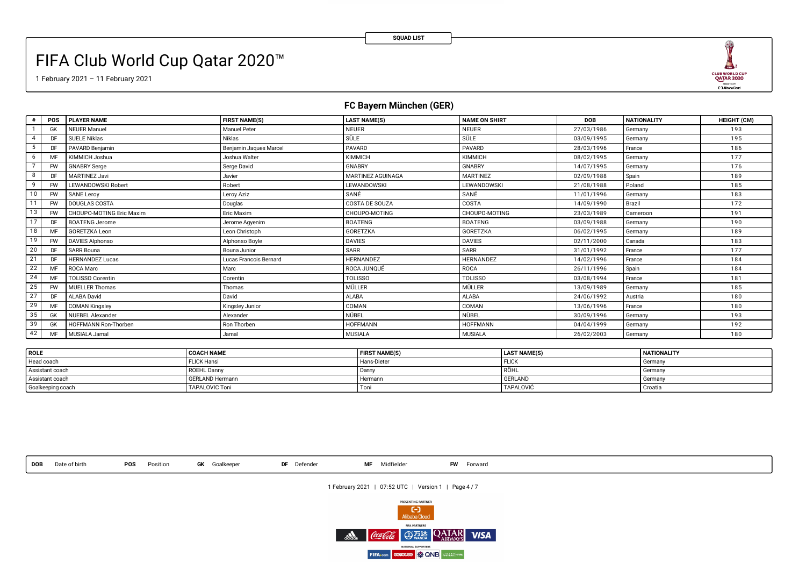# FIFA Club World Cup Qatar 2020™

1 February 2021 – 11 February 2021



## **FC Bayern München (GER)**

|          | <b>POS</b> | <b>PLAYER NAME</b>       | <b>FIRST NAME(S)</b>   | <b>LAST NAME(S)</b> | <b>NAME ON SHIRT</b> | <b>DOB</b> | <b>NATIONALITY</b> | <b>HEIGHT (CM)</b> |
|----------|------------|--------------------------|------------------------|---------------------|----------------------|------------|--------------------|--------------------|
|          | GK         | <b>NEUER Manuel</b>      | <b>Manuel Peter</b>    | <b>NEUER</b>        | <b>NEUER</b>         | 27/03/1986 | Germany            | 193                |
|          | DF         | SUELE Niklas             | Niklas                 | SÜLE                | SÜLE                 | 03/09/1995 | Germany            | 195                |
| 5        |            | PAVARD Benjamin          | Benjamin Jaques Marcel | PAVARD              | <b>PAVARD</b>        | 28/03/1996 | France             | 186                |
| 6        | MF         | KIMMICH Joshua           | Joshua Walter          | <b>KIMMICH</b>      | KIMMICH              | 08/02/1995 | Germany            | 177                |
|          | <b>FW</b>  | <b>GNABRY Serge</b>      | Serge David            | <b>GNABRY</b>       | <b>GNABRY</b>        | 14/07/1995 | Germany            | 176                |
| 8        | DF         | <b>MARTINEZ Javi</b>     | Javier                 | MARTINEZ AGUINAGA   | <b>MARTINEZ</b>      | 02/09/1988 | Spain              | 189                |
| <b>q</b> | <b>FW</b>  | LEWANDOWSKI Robert       | Robert                 | LEWANDOWSKI         | LEWANDOWSKI          | 21/08/1988 | Poland             | 185                |
| 10       | <b>FW</b>  | <b>SANE Leroy</b>        | Leroy Aziz             | SANÉ                | SANÉ                 | 11/01/1996 | Germany            | 183                |
| 11       | <b>FW</b>  | DOUGLAS COSTA            | Douglas                | COSTA DE SOUZA      | COSTA                | 14/09/1990 | Brazil             | 172                |
| 13       | <b>FW</b>  | CHOUPO-MOTING Eric Maxim | Eric Maxim             | CHOUPO-MOTING       | CHOUPO-MOTING        | 23/03/1989 | Cameroon           | 191                |
| 17       | DF         | <b>BOATENG Jerome</b>    | Jerome Agyenim         | <b>BOATENG</b>      | <b>BOATENG</b>       | 03/09/1988 | Germany            | 190                |
| 18       | MF         | GORETZKA Leon            | Leon Christoph         | GORETZKA            | GORETZKA             | 06/02/1995 | Germany            | 189                |
| 19       | <b>FW</b>  | <b>DAVIES Alphonso</b>   | Alphonso Boyle         | <b>DAVIES</b>       | <b>DAVIES</b>        | 02/11/2000 | Canada             | 183                |
| 20       | DF         | <b>SARR Bouna</b>        | Bouna Junior           | <b>SARR</b>         | SARR                 | 31/01/1992 | France             | 177                |
| 21       | DF         | <b>HERNANDEZ Lucas</b>   | Lucas Francois Bernard | HERNANDEZ           | <b>HERNANDEZ</b>     | 14/02/1996 | France             | 184                |
| 22       | <b>MF</b>  | ROCA Marc                | Marc                   | ROCA JUNQUÉ         | ROCA                 | 26/11/1996 | Spain              | 184                |
| 24       | MF         | <b>TOLISSO Corentin</b>  | Corentin               | <b>TOLISSO</b>      | <b>TOLISSO</b>       | 03/08/1994 | France             | 181                |
| 25       | <b>FW</b>  | <b>MUELLER Thomas</b>    | Thomas                 | MÜLLER              | MÜLLER               | 13/09/1989 | Germany            | 185                |
| 27       | DF         | <b>ALABA David</b>       | David                  | <b>ALABA</b>        | <b>ALABA</b>         | 24/06/1992 | Austria            | 180                |
| 29       | MF         | <b>COMAN Kingsley</b>    | Kingsley Junior        | COMAN               | COMAN                | 13/06/1996 | France             | 180                |
| 35       | GK         | <b>NUEBEL Alexander</b>  | Alexander              | NÜBEL               | NÜBEL                | 30/09/1996 | Germany            | 193                |
| 39       | GK         | HOFFMANN Ron-Thorben     | Ron Thorben            | <b>HOFFMANN</b>     | <b>HOFFMANN</b>      | 04/04/1999 | Germany            | 192                |
| 42       | MF         | MUSIALA Jamal            | Jamal                  | <b>MUSIALA</b>      | <b>MUSIALA</b>       | 26/02/2003 | Germany            | 180                |

| ROLE              | <b>COACH NAME</b>      | <b>FIRST NAME(S)</b> | <b>LAST NAME(S)</b> | <b>NATIONALITY</b> |
|-------------------|------------------------|----------------------|---------------------|--------------------|
| Head coach        | <b>FLICK Hansi</b>     | Hans-Dieter          | <b>FLICH</b>        | Germany            |
| Assistant coach   | <b>ROEHL Danny</b>     | Dann                 | RÖHL                | Germany            |
| Assistant coach   | <b>GERLAND Hermann</b> | Hermann              | GERLAND             | Germany            |
| Goalkeeping coach | <b>TAPALOVIC Toni</b>  | lon.                 | TAPALOVIC           | Croatia            |

**DOB** Date of birth **POS** Position **GK** Goalkeeper **DF** Defender **MF** Midfielder **FW** Forward

1 February 2021 | 07:52 UTC | Version 1 | Page 4 / 7

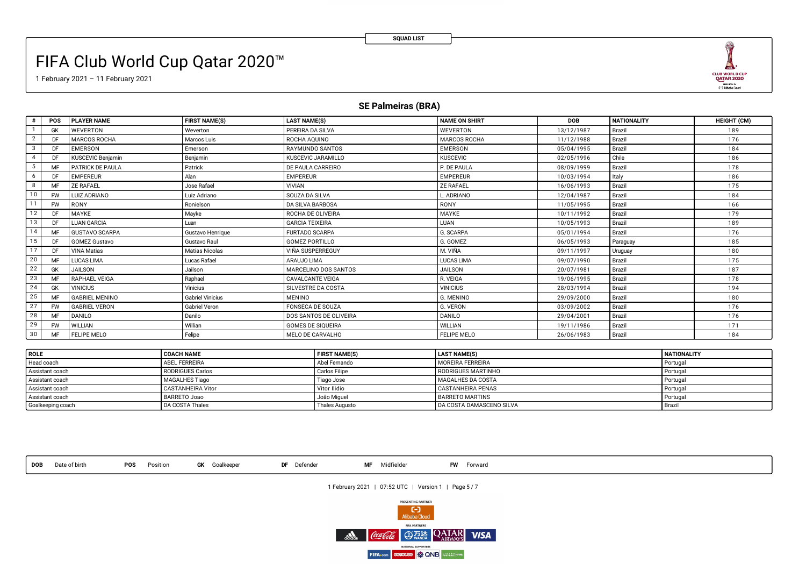# FIFA Club World Cup Qatar 2020™

1 February 2021 – 11 February 2021



### **SE Palmeiras (BRA)**

| #              | <b>POS</b> | <b>PLAYER NAME</b>       | <b>FIRST NAME(S)</b>    | <b>LAST NAME(S)</b>      | <b>NAME ON SHIRT</b> | <b>DOB</b> | <b>NATIONALITY</b> | <b>HEIGHT (CM)</b> |
|----------------|------------|--------------------------|-------------------------|--------------------------|----------------------|------------|--------------------|--------------------|
|                | GK         | <b>WEVERTON</b>          | Weverton                | PEREIRA DA SILVA         | WEVERTON             | 13/12/1987 | Brazil             | 189                |
| $\overline{2}$ | DE         | <b>MARCOS ROCHA</b>      | Marcos Luis             | ROCHA AQUINO             | <b>MARCOS ROCHA</b>  | 11/12/1988 | Brazil             | 176                |
| 3              | DE         | <b>EMERSON</b>           | Emerson                 | RAYMUNDO SANTOS          | EMERSON              | 05/04/1995 | Brazil             | 184                |
| $\overline{4}$ | DE.        | <b>KUSCEVIC Benjamin</b> | Benjamin                | KUSCEVIC JARAMILLO       | <b>KUSCEVIC</b>      | 02/05/1996 | Chile              | 186                |
| 5              | <b>MF</b>  | PATRICK DE PAULA         | Patrick                 | DE PAULA CARREIRO        | P. DE PAULA          | 08/09/1999 | Brazil             | 178                |
| 6              | DE         | <b>EMPEREUR</b>          | Alan                    | <b>EMPEREUR</b>          | <b>EMPEREUR</b>      | 10/03/1994 | Italy              | 186                |
| 8              |            | <b>ZE RAFAEL</b>         | Jose Rafael             | <b>VIVIAN</b>            | <b>ZE RAFAEL</b>     | 16/06/1993 | Brazil             | 175                |
| 10             | <b>FW</b>  | LUIZ ADRIANO             | Luiz Adriano            | SOUZA DA SILVA           | ADRIANO              | 12/04/1987 | Brazil             | 184                |
| 11             | <b>FW</b>  | <b>RONY</b>              | Ronielson               | DA SILVA BARBOSA         | RONY                 | 11/05/1995 | Brazil             | 166                |
| 12             | DE         | MAYKE                    | Mayke                   | ROCHA DE OLIVEIRA        | <b>MAYKE</b>         | 10/11/1992 | Brazil             | 179                |
| 13             | DF         | <b>LUAN GARCIA</b>       | Luan                    | <b>GARCIA TEIXEIRA</b>   | LUAN                 | 10/05/1993 | Brazil             | 189                |
| 14             |            | <b>GUSTAVO SCARPA</b>    | Gustavo Henrique        | <b>FURTADO SCARPA</b>    | G. SCARPA            | 05/01/1994 | Brazil             | 176                |
| 15             | DE         | <b>GOMEZ Gustavo</b>     | Gustavo Raul            | <b>GOMEZ PORTILLO</b>    | G. GOMEZ             | 06/05/1993 | Paraguay           | 185                |
| 17             | DF         | <b>VINA Matias</b>       | Matias Nicolas          | VIÑA SUSPERREGUY         | M. VIÑA              | 09/11/1997 | Uruguay            | 180                |
| 20             | MF         | <b>LUCAS LIMA</b>        | Lucas Rafael            | ARAUJO LIMA              | <b>LUCAS LIMA</b>    | 09/07/1990 | Brazil             | 175                |
| 22             | GK         | JAILSON                  | Jailson                 | MARCELINO DOS SANTOS     | <b>JAILSON</b>       | 20/07/1981 | Brazil             | 187                |
| 23             | <b>MF</b>  | <b>RAPHAEL VEIGA</b>     | Raphael                 | <b>CAVALCANTE VEIGA</b>  | R. VEIGA             | 19/06/1995 | Brazil             | 178                |
| 24             | GK         | <b>VINICIUS</b>          | Vinicius                | SILVESTRE DA COSTA       | <b>VINICIUS</b>      | 28/03/1994 | Brazil             | 194                |
| 25             |            | <b>GABRIEL MENINO</b>    | <b>Gabriel Vinicius</b> | <b>MENINO</b>            | G. MENINO            | 29/09/2000 | Brazil             | 180                |
| 27             | <b>FW</b>  | <b>GABRIEL VERON</b>     | <b>Gabriel Veron</b>    | <b>FONSECA DE SOUZA</b>  | G. VERON             | 03/09/2002 | Brazil             | 176                |
| 28             | MF         | <b>DANILO</b>            | Danilo                  | DOS SANTOS DE OLIVEIRA   | <b>DANILO</b>        | 29/04/2001 | Brazil             | 176                |
| 29             | <b>FW</b>  | WILLIAN                  | Willian                 | <b>GOMES DE SIOUEIRA</b> | <b>WILLIAN</b>       | 19/11/1986 | Brazil             | 171                |
| 30             | MF         | <b>FELIPE MELO</b>       | Felipe                  | MELO DE CARVALHO         | <b>FELIPE MELO</b>   | 26/06/1983 | Brazil             | 184                |

| l ROLE            | <b>COACH NAME</b>     | <b>FIRST NAME(S)</b> | <b>LAST NAME(S)</b>             | <b>NATIONALITY</b> |
|-------------------|-----------------------|----------------------|---------------------------------|--------------------|
| Head coach        | <b>ABEL FERREIRA</b>  | Abel Fernando        | MOREIRA FERREIRA                | Portugal           |
| Assistant coach   | RODRIGUES Carlos      | <b>Carlos Filipe</b> | RODRIGUES MARTINHO              | Portugal           |
| Assistant coach   | <b>MAGALHES Tiago</b> | Tiago Jose           | <b>MAGALHES DA COSTA</b>        | Portuga            |
| Assistant coach   | CASTANHEIRA Vitor     | Vitor Ilidio         | CASTANHEIRA PENAS               | Portugal           |
| Assistant coach   | <b>BARRETO Joao</b>   | João Miguel          | BARRETO MARTINS                 | Portugal           |
| Goalkeeping coach | DA COSTA Thales       | Thales Augusto       | <b>DA COSTA DAMASCENO SILVA</b> | <b>Brazi</b>       |

**DOB** Date of birth **POS** Position **GK** Goalkeeper **DF** Defender **MF** Midfielder **FW** Forward

1 February 2021 | 07:52 UTC | Version 1 | Page 5 / 7

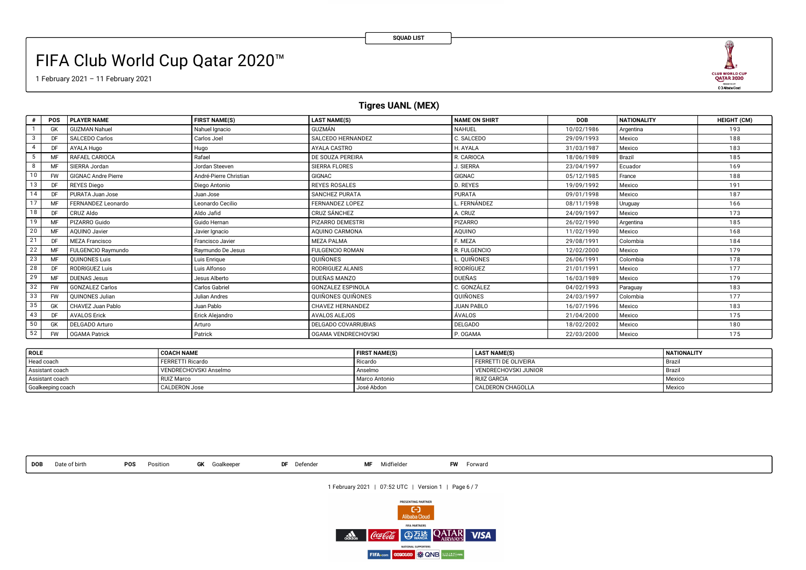# FIFA Club World Cup Qatar 2020™

1 February 2021 – 11 February 2021

## **Tigres UANL (MEX)**

|                        | <b>POS</b> | <b>PLAYER NAME</b>         | <b>FIRST NAME(S)</b>   | <b>LAST NAME(S)</b>        | <b>NAME ON SHIRT</b> | <b>DOB</b> | <b>NATIONALITY</b> | <b>HEIGHT (CM)</b> |
|------------------------|------------|----------------------------|------------------------|----------------------------|----------------------|------------|--------------------|--------------------|
|                        | GK         | <b>GUZMAN Nahuel</b>       | Nahuel Ignacio         | GUZMÁN                     | <b>NAHUEL</b>        | 10/02/1986 | Argentina          | 193                |
| 3                      |            | SALCEDO Carlos             | Carlos Joel            | SALCEDO HERNANDEZ          | C. SALCEDO           | 29/09/1993 | Mexico             | 188                |
| $\boldsymbol{\Lambda}$ |            | AYALA Hugo                 | Hugo                   | AYALA CASTRO               | H. AYALA             | 31/03/1987 | Mexico             | 183                |
| 5                      |            | RAFAEL CARIOCA             | Rafael                 | DE SOUZA PEREIRA           | R. CARIOCA           | 18/06/1989 | Brazil             | 185                |
| 8                      |            | SIERRA Jordan              | Jordan Steeven         | SIERRA FLORES              | J. SIERRA            | 23/04/1997 | Ecuador            | 169                |
| 10                     | <b>FW</b>  | <b>GIGNAC Andre Pierre</b> | André-Pierre Christian | <b>GIGNAC</b>              | <b>GIGNAC</b>        | 05/12/1985 | France             | 188                |
| 13                     |            | REYES Diego                | Diego Antonio          | <b>REYES ROSALES</b>       | D. REYES             | 19/09/1992 | Mexico             | 191                |
| 14                     |            | PURATA Juan Jose           | Juan Jose              | <b>SANCHEZ PURATA</b>      | <b>PURATA</b>        | 09/01/1998 | Mexico             | 187                |
| 17                     |            | FERNANDEZ Leonardo         | Leonardo Cecilio       | FERNANDEZ LOPEZ            | FERNÁNDEZ            | 08/11/1998 | Uruguay            | 166                |
| 18                     | DF         | CRUZ Aldo                  | Aldo Jafid             | <b>CRUZ SÁNCHEZ</b>        | A. CRUZ              | 24/09/1997 | Mexico             | 173                |
| 19                     |            | PIZARRO Guido              | Guido Hernan           | <b>PIZARRO DEMESTRI</b>    | PIZARRO              | 26/02/1990 | Argentina          | 185                |
| 20                     |            | AQUINO Javier              | Javier Ignacio         | AQUINO CARMONA             | AQUINO               | 11/02/1990 | Mexico             | 168                |
| 21                     | DF         | <b>MEZA Francisco</b>      | Francisco Javier       | <b>MEZA PALMA</b>          | F. MEZA              | 29/08/1991 | Colombia           | 184                |
| 22                     | MF         | FULGENCIO Raymundo         | Raymundo De Jesus      | <b>FULGENCIO ROMAN</b>     | R. FULGENCIO         | 12/02/2000 | Mexico             | 179                |
| 23                     | MF         | <b>OUINONES Luis</b>       | Luis Enrigue           | <b>OUIÑONES</b>            | L. QUIÑONES          | 26/06/1991 | Colombia           | 178                |
| 28                     |            | RODRIGUEZ Luis             | Luis Alfonso           | RODRIGUEZ ALANIS           | RODRÍGUEZ            | 21/01/1991 | Mexico             | 177                |
| 29                     |            | <b>DUENAS Jesus</b>        | Jesus Alberto          | DUEÑAS MANZO               | DUEÑAS               | 16/03/1989 | Mexico             | 179                |
| 32                     | <b>FW</b>  | <b>GONZALEZ Carlos</b>     | Carlos Gabriel         | <b>GONZALEZ ESPINOLA</b>   | C. GONZÁLEZ          | 04/02/1993 | Paraguay           | 183                |
| 33                     | <b>FW</b>  | <b>OUINONES Julian</b>     | Julian Andres          | QUIÑONES QUIÑONES          | QUIÑONES             | 24/03/1997 | Colombia           | 177                |
| 35                     | GK         | CHAVEZ Juan Pablo          | Juan Pablo             | CHAVEZ HERNANDEZ           | <b>JUAN PABLO</b>    | 16/07/1996 | Mexico             | 183                |
| 43                     | DF         | <b>AVALOS Erick</b>        | Erick Alejandro        | <b>AVALOS ALEJOS</b>       | ÁVALOS               | 21/04/2000 | Mexico             | 175                |
| 50                     | GK         | DELGADO Arturo             | Arturo                 | <b>DELGADO COVARRUBIAS</b> | <b>DELGADO</b>       | 18/02/2002 | Mexico             | 180                |
| 52                     | <b>FW</b>  | <b>OGAMA Patrick</b>       | Patrick                | OGAMA VENDRECHOVSKI        | P. OGAMA             | 22/03/2000 | Mexico             | 175                |

| ROLE              | <b>COACH NAME</b>     | <b>FIRST NAME(S)</b> | <b>LAST NAME(S)</b>         | <b>NATIONALITY</b> |
|-------------------|-----------------------|----------------------|-----------------------------|--------------------|
| Head coach        | FERRETTI Ricardo      | Ricardo              | <b>FERRETTI DE OLIVEIRA</b> | - Brazi.           |
| Assistant coach   | VENDRECHOVSKI Anselmo | Anselmo              | VENDRECHOVSKI JUNIOR        | l Brazı.           |
| Assistant coach   | RUIZ Marco            | I Marco Antonio      | <b>RUIZ GARCIA</b>          | Mexico             |
| Goalkeeping coach | <b>CALDERON Jose</b>  | José Abdon           | CALDERON CHAGOLLA           | Mexico             |

**DOB** Date of birth **POS** Position **GK** Goalkeeper **DF** Defender **MF** Midfielder **FW** Forward

1 February 2021 | 07:52 UTC | Version 1 | Page 6 / 7